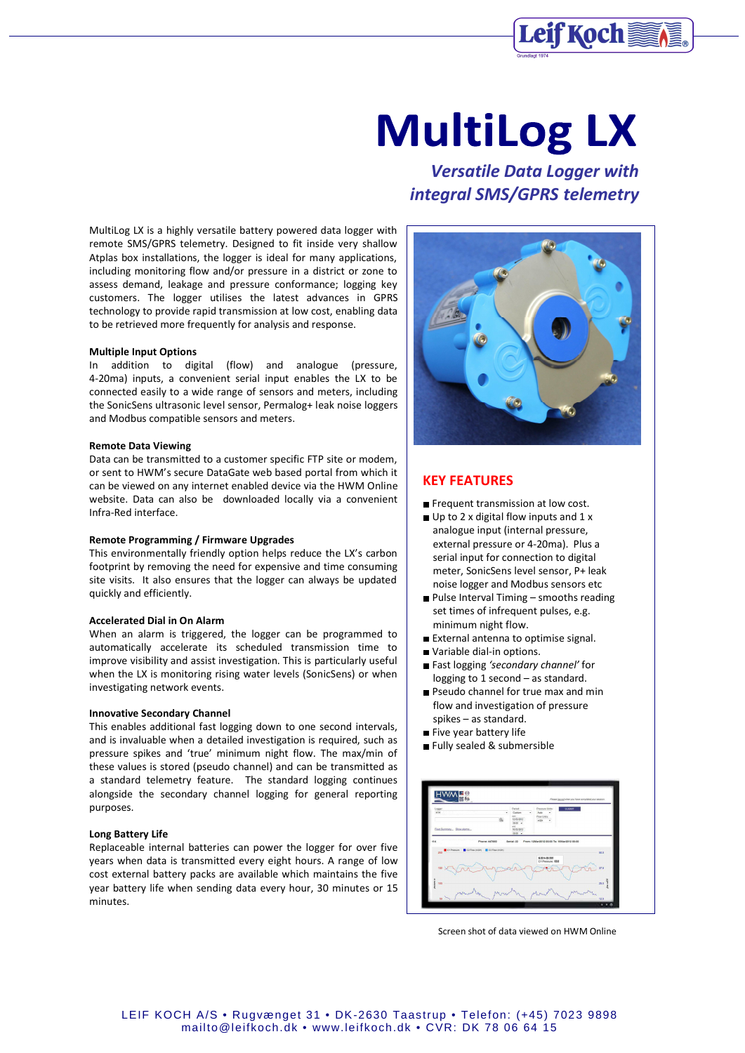

# **MultiLog LX**

MultiLog LX is a highly versatile battery powered data logger with remote SMS/GPRS telemetry. Designed to fit inside very shallow Atplas box installations, the logger is ideal for many applications, including monitoring flow and/or pressure in a district or zone to assess demand, leakage and pressure conformance; logging key customers. The logger utilises the latest advances in GPRS technology to provide rapid transmission at low cost, enabling data to be retrieved more frequently for analysis and response.

#### **Multiple Input Options**

In addition to digital (flow) and analogue (pressure, 4-20ma) inputs, a convenient serial input enables the LX to be connected easily to a wide range of sensors and meters, including the SonicSens ultrasonic level sensor, Permalog+ leak noise loggers and Modbus compatible sensors and meters.

#### **Remote Data Viewing**

Data can be transmitted to a customer specific FTP site or modem, or sent to HWM's secure DataGate web based portal from which it can be viewed on any internet enabled device via the HWM Online website. Data can also be downloaded locally via a convenient Infra-Red interface.

### **Remote Programming / Firmware Upgrades**

This environmentally friendly option helps reduce the LX's carbon footprint by removing the need for expensive and time consuming site visits. It also ensures that the logger can always be updated quickly and efficiently.

### **Accelerated Dial in On Alarm**

When an alarm is triggered, the logger can be programmed to automatically accelerate its scheduled transmission time to improve visibility and assist investigation. This is particularly useful when the LX is monitoring rising water levels (SonicSens) or when investigating network events.

#### **Innovative Secondary Channel**

This enables additional fast logging down to one second intervals, and is invaluable when a detailed investigation is required, such as pressure spikes and 'true' minimum night flow. The max/min of these values is stored (pseudo channel) and can be transmitted as a standard telemetry feature. The standard logging continues alongside the secondary channel logging for general reporting purposes.

#### **Long Battery Life**

Replaceable internal batteries can power the logger for over five years when data is transmitted every eight hours. A range of low cost external battery packs are available which maintains the five year battery life when sending data every hour, 30 minutes or 15 minutes.

*Versatile Data Logger with integral SMS/GPRS telemetry*



## **KEY FEATURES**

- Frequent transmission at low cost.
- Up to 2 x digital flow inputs and 1 x analogue input (internal pressure, external pressure or 4-20ma). Plus a serial input for connection to digital meter, SonicSens level sensor, P+ leak noise logger and Modbus sensors etc
- **Pulse Interval Timing smooths reading** set times of infrequent pulses, e.g. minimum night flow.
- External antenna to optimise signal.
- Variable dial-in options.
- Fast logging *'secondary channel'* for logging to 1 second – as standard.
- Pseudo channel for true max and min flow and investigation of pressure spikes – as standard.
- Five year battery life
- Fully sealed & submersible



Screen shot of data viewed on HWM Online